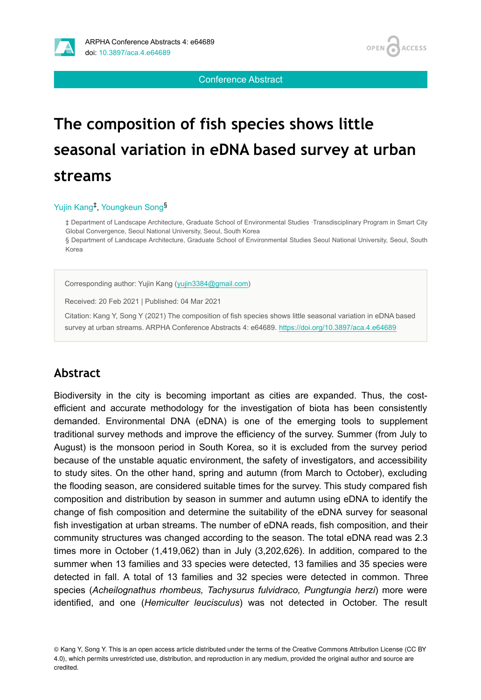Conference Abstract

# **The composition of fish species shows little seasonal variation in eDNA based survey at urban streams**

#### Yujin Kang<sup>‡</sup>, Youngkeun Song<sup>§</sup>

‡ Department of Landscape Architecture, Graduate School of Environmental Studies ∙Transdisciplinary Program in Smart City Global Convergence, Seoul National University, Seoul, South Korea

§ Department of Landscape Architecture, Graduate School of Environmental Studies Seoul National University, Seoul, South Korea

Corresponding author: Yujin Kang [\(yujin3384@gmail.com](mailto:yujin3384@gmail.com))

Received: 20 Feb 2021 | Published: 04 Mar 2021

Citation: Kang Y, Song Y (2021) The composition of fish species shows little seasonal variation in eDNA based survey at urban streams. ARPHA Conference Abstracts 4: e64689. <https://doi.org/10.3897/aca.4.e64689>

# **Abstract**

Biodiversity in the city is becoming important as cities are expanded. Thus, the costefficient and accurate methodology for the investigation of biota has been consistently demanded. Environmental DNA (eDNA) is one of the emerging tools to supplement traditional survey methods and improve the efficiency of the survey. Summer (from July to August) is the monsoon period in South Korea, so it is excluded from the survey period because of the unstable aquatic environment, the safety of investigators, and accessibility to study sites. On the other hand, spring and autumn (from March to October), excluding the flooding season, are considered suitable times for the survey. This study compared fish composition and distribution by season in summer and autumn using eDNA to identify the change of fish composition and determine the suitability of the eDNA survey for seasonal fish investigation at urban streams. The number of eDNA reads, fish composition, and their community structures was changed according to the season. The total eDNA read was 2.3 times more in October (1,419,062) than in July (3,202,626). In addition, compared to the summer when 13 families and 33 species were detected, 13 families and 35 species were detected in fall. A total of 13 families and 32 species were detected in common. Three species (*Acheilognathus rhombeus, Tachysurus fulvidraco, Pungtungia herzi*) more were identified, and one (*Hemiculter leucisculus*) was not detected in October. The result

© Kang Y, Song Y. This is an open access article distributed under the terms of the Creative Commons Attribution License (CC BY 4.0), which permits unrestricted use, distribution, and reproduction in any medium, provided the original author and source are credited.